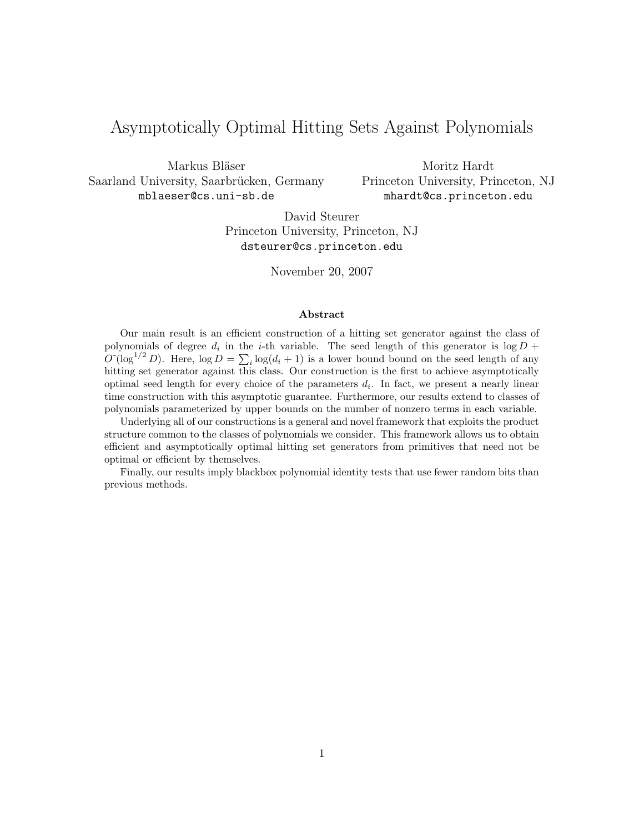# Asymptotically Optimal Hitting Sets Against Polynomials

Markus Bläser Saarland University, Saarbrücken, Germany mblaeser@cs.uni-sb.de

Moritz Hardt Princeton University, Princeton, NJ mhardt@cs.princeton.edu

David Steurer Princeton University, Princeton, NJ dsteurer@cs.princeton.edu

November 20, 2007

#### Abstract

Our main result is an efficient construction of a hitting set generator against the class of polynomials of degree  $d_i$  in the *i*-th variable. The seed length of this generator is  $\log D$  +  $O^{\sim}(\log^{1/2} D)$ . Here,  $\log D = \sum_i \log(d_i + 1)$  is a lower bound bound on the seed length of any hitting set generator against this class. Our construction is the first to achieve asymptotically optimal seed length for every choice of the parameters  $d_i$ . In fact, we present a nearly linear time construction with this asymptotic guarantee. Furthermore, our results extend to classes of polynomials parameterized by upper bounds on the number of nonzero terms in each variable.

Underlying all of our constructions is a general and novel framework that exploits the product structure common to the classes of polynomials we consider. This framework allows us to obtain efficient and asymptotically optimal hitting set generators from primitives that need not be optimal or efficient by themselves.

Finally, our results imply blackbox polynomial identity tests that use fewer random bits than previous methods.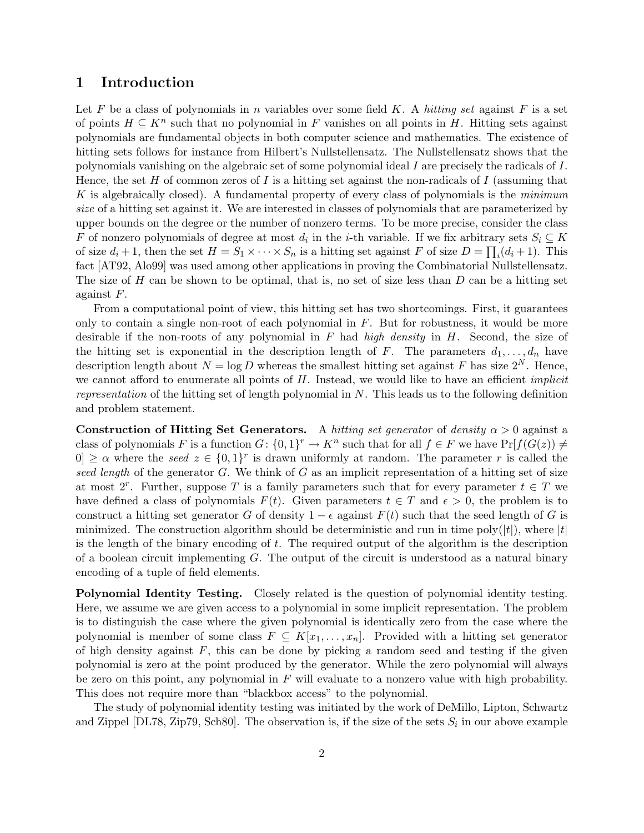### 1 Introduction

Let F be a class of polynomials in n variables over some field K. A hitting set against F is a set of points  $H \subseteq K^n$  such that no polynomial in F vanishes on all points in H. Hitting sets against polynomials are fundamental objects in both computer science and mathematics. The existence of hitting sets follows for instance from Hilbert's Nullstellensatz. The Nullstellensatz shows that the polynomials vanishing on the algebraic set of some polynomial ideal I are precisely the radicals of I. Hence, the set H of common zeros of I is a hitting set against the non-radicals of I (assuming that K is algebraically closed). A fundamental property of every class of polynomials is the minimum size of a hitting set against it. We are interested in classes of polynomials that are parameterized by upper bounds on the degree or the number of nonzero terms. To be more precise, consider the class F of nonzero polynomials of degree at most  $d_i$  in the *i*-th variable. If we fix arbitrary sets  $S_i \subseteq K$ of size  $d_i + 1$ , then the set  $H = S_1 \times \cdots \times S_n$  is a hitting set against F of size  $D = \prod_i (d_i + 1)$ . This fact [AT92, Alo99] was used among other applications in proving the Combinatorial Nullstellensatz. The size of H can be shown to be optimal, that is, no set of size less than  $D$  can be a hitting set against F.

From a computational point of view, this hitting set has two shortcomings. First, it guarantees only to contain a single non-root of each polynomial in  $F$ . But for robustness, it would be more desirable if the non-roots of any polynomial in  $F$  had high density in  $H$ . Second, the size of the hitting set is exponential in the description length of F. The parameters  $d_1, \ldots, d_n$  have description length about  $N = \log D$  whereas the smallest hitting set against F has size  $2^N$ . Hence, we cannot afford to enumerate all points of  $H$ . Instead, we would like to have an efficient *implicit* representation of the hitting set of length polynomial in  $N$ . This leads us to the following definition and problem statement.

Construction of Hitting Set Generators. A hitting set generator of density  $\alpha > 0$  against a class of polynomials F is a function  $G: \{0,1\}^r \to K^n$  such that for all  $f \in F$  we have  $Pr[f(G(z)) \neq$  $|0| \ge \alpha$  where the seed  $z \in \{0,1\}^r$  is drawn uniformly at random. The parameter r is called the seed length of the generator G. We think of G as an implicit representation of a hitting set of size at most  $2^r$ . Further, suppose T is a family parameters such that for every parameter  $t \in T$  we have defined a class of polynomials  $F(t)$ . Given parameters  $t \in T$  and  $\epsilon > 0$ , the problem is to construct a hitting set generator G of density  $1 - \epsilon$  against  $F(t)$  such that the seed length of G is minimized. The construction algorithm should be deterministic and run in time poly $(|t|)$ , where  $|t|$ is the length of the binary encoding of  $t$ . The required output of the algorithm is the description of a boolean circuit implementing  $G$ . The output of the circuit is understood as a natural binary encoding of a tuple of field elements.

Polynomial Identity Testing. Closely related is the question of polynomial identity testing. Here, we assume we are given access to a polynomial in some implicit representation. The problem is to distinguish the case where the given polynomial is identically zero from the case where the polynomial is member of some class  $F \subseteq K[x_1, \ldots, x_n]$ . Provided with a hitting set generator of high density against  $F$ , this can be done by picking a random seed and testing if the given polynomial is zero at the point produced by the generator. While the zero polynomial will always be zero on this point, any polynomial in  $F$  will evaluate to a nonzero value with high probability. This does not require more than "blackbox access" to the polynomial.

The study of polynomial identity testing was initiated by the work of DeMillo, Lipton, Schwartz and Zippel [DL78, Zip79, Sch80]. The observation is, if the size of the sets  $S_i$  in our above example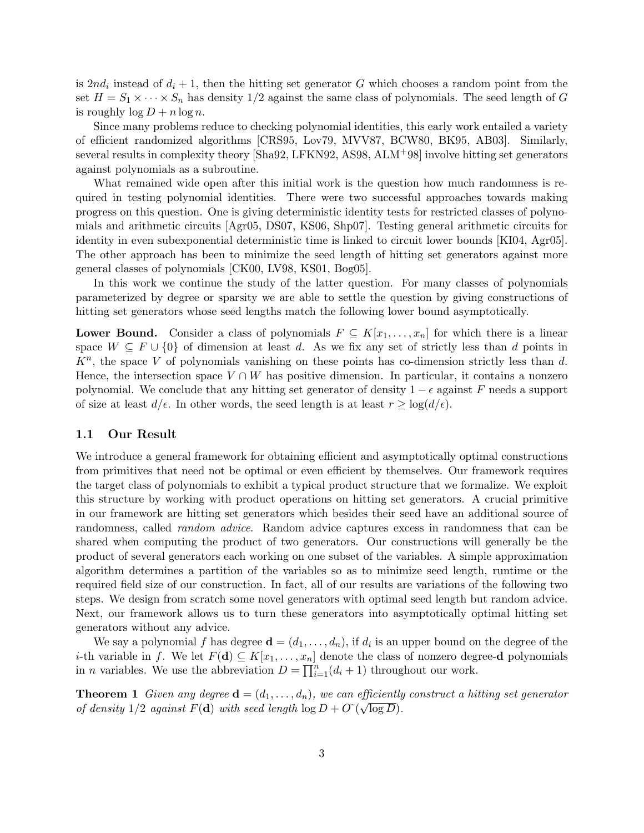is  $2nd_i$  instead of  $d_i + 1$ , then the hitting set generator G which chooses a random point from the set  $H = S_1 \times \cdots \times S_n$  has density 1/2 against the same class of polynomials. The seed length of G is roughly  $\log D + n \log n$ .

Since many problems reduce to checking polynomial identities, this early work entailed a variety of efficient randomized algorithms [CRS95, Lov79, MVV87, BCW80, BK95, AB03]. Similarly, several results in complexity theory [Sha92, LFKN92, AS98, ALM<sup>+</sup>98] involve hitting set generators against polynomials as a subroutine.

What remained wide open after this initial work is the question how much randomness is required in testing polynomial identities. There were two successful approaches towards making progress on this question. One is giving deterministic identity tests for restricted classes of polynomials and arithmetic circuits [Agr05, DS07, KS06, Shp07]. Testing general arithmetic circuits for identity in even subexponential deterministic time is linked to circuit lower bounds [KI04, Agr05]. The other approach has been to minimize the seed length of hitting set generators against more general classes of polynomials [CK00, LV98, KS01, Bog05].

In this work we continue the study of the latter question. For many classes of polynomials parameterized by degree or sparsity we are able to settle the question by giving constructions of hitting set generators whose seed lengths match the following lower bound asymptotically.

**Lower Bound.** Consider a class of polynomials  $F \subseteq K[x_1, \ldots, x_n]$  for which there is a linear space  $W \subseteq F \cup \{0\}$  of dimension at least d. As we fix any set of strictly less than d points in  $K<sup>n</sup>$ , the space V of polynomials vanishing on these points has co-dimension strictly less than d. Hence, the intersection space  $V \cap W$  has positive dimension. In particular, it contains a nonzero polynomial. We conclude that any hitting set generator of density  $1 - \epsilon$  against F needs a support of size at least  $d/\epsilon$ . In other words, the seed length is at least  $r \geq \log(d/\epsilon)$ .

#### 1.1 Our Result

We introduce a general framework for obtaining efficient and asymptotically optimal constructions from primitives that need not be optimal or even efficient by themselves. Our framework requires the target class of polynomials to exhibit a typical product structure that we formalize. We exploit this structure by working with product operations on hitting set generators. A crucial primitive in our framework are hitting set generators which besides their seed have an additional source of randomness, called random advice. Random advice captures excess in randomness that can be shared when computing the product of two generators. Our constructions will generally be the product of several generators each working on one subset of the variables. A simple approximation algorithm determines a partition of the variables so as to minimize seed length, runtime or the required field size of our construction. In fact, all of our results are variations of the following two steps. We design from scratch some novel generators with optimal seed length but random advice. Next, our framework allows us to turn these generators into asymptotically optimal hitting set generators without any advice.

We say a polynomial f has degree  $\mathbf{d} = (d_1, \ldots, d_n)$ , if  $d_i$  is an upper bound on the degree of the *i*-th variable in f. We let  $F(\mathbf{d}) \subseteq K[x_1, \ldots, x_n]$  denote the class of nonzero degree-**d** polynomials in *n* variables. We use the abbreviation  $D = \prod_{i=1}^{n} (d_i + 1)$  throughout our work.

**Theorem 1** Given any degree  $\mathbf{d} = (d_1, \ldots, d_n)$ , we can efficiently construct a hitting set generator **Theorem T** Given any acgree  $\mathbf{d} = (a_1, \ldots, a_n)$ , we can expectently<br>of density  $1/2$  against  $F(\mathbf{d})$  with seed length  $\log D + O\tilde{C}(\sqrt{\log D})$ .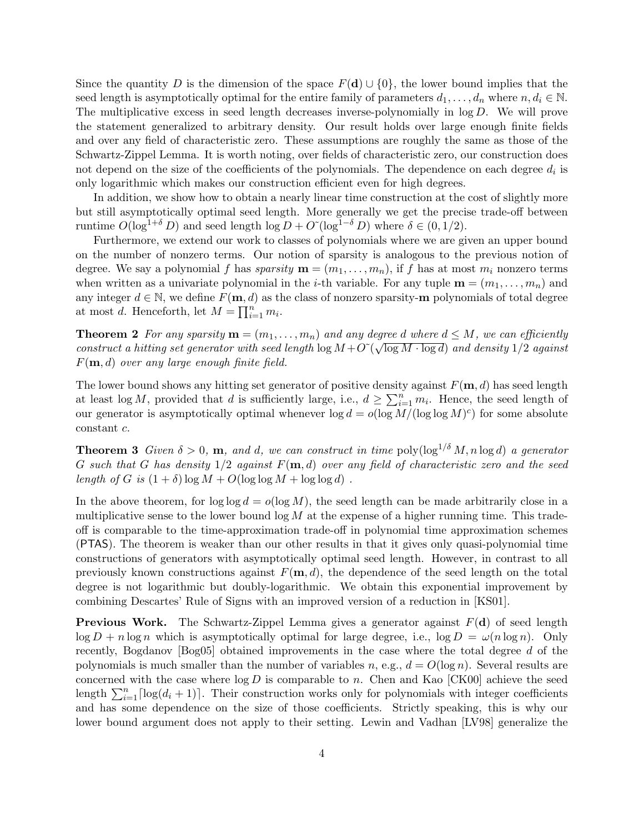Since the quantity D is the dimension of the space  $F(d) \cup \{0\}$ , the lower bound implies that the seed length is asymptotically optimal for the entire family of parameters  $d_1, \ldots, d_n$  where  $n, d_i \in \mathbb{N}$ . The multiplicative excess in seed length decreases inverse-polynomially in  $log D$ . We will prove the statement generalized to arbitrary density. Our result holds over large enough finite fields and over any field of characteristic zero. These assumptions are roughly the same as those of the Schwartz-Zippel Lemma. It is worth noting, over fields of characteristic zero, our construction does not depend on the size of the coefficients of the polynomials. The dependence on each degree  $d_i$  is only logarithmic which makes our construction efficient even for high degrees.

In addition, we show how to obtain a nearly linear time construction at the cost of slightly more but still asymptotically optimal seed length. More generally we get the precise trade-off between runtime  $O(\log^{1+\delta} D)$  and seed length  $\log D + O^{\gamma}(\log^{1-\delta} D)$  where  $\delta \in (0, 1/2)$ .

Furthermore, we extend our work to classes of polynomials where we are given an upper bound on the number of nonzero terms. Our notion of sparsity is analogous to the previous notion of degree. We say a polynomial f has sparsity  $\mathbf{m} = (m_1, \ldots, m_n)$ , if f has at most  $m_i$  nonzero terms when written as a univariate polynomial in the *i*-th variable. For any tuple  $\mathbf{m} = (m_1, \ldots, m_n)$  and any integer  $d \in \mathbb{N}$ , we define  $F(\mathbf{m}, d)$  as the class of nonzero sparsity-**m** polynomials of total degree at most d. Henceforth, let  $M = \prod_{i=1}^{n} m_i$ .

**Theorem 2** For any sparsity  $\mathbf{m} = (m_1, \ldots, m_n)$  and any degree d where  $d \leq M$ , we can efficiently **Theorem 2** For any sparsity  $\mathbf{m} = (m_1, \ldots, m_n)$  and any degree a where  $a \leq M$ , we can efficiently construct a hitting set generator with seed length  $\log M + O(\sqrt{\log M \cdot \log d})$  and density 1/2 against  $F(\mathbf{m}, d)$  over any large enough finite field.

The lower bound shows any hitting set generator of positive density against  $F(\mathbf{m}, d)$  has seed length at least  $\log M$ , provided that d is sufficiently large, i.e.,  $d \geq \sum_{i=1}^{n} m_i$ . Hence, the seed length of our generator is asymptotically optimal whenever  $\log d = o(\log M/(\log \log M)^c)$  for some absolute constant c.

**Theorem 3** Given  $\delta > 0$ , **m**, and d, we can construct in time poly $(\log^{1/\delta} M, n \log d)$  a generator G such that G has density  $1/2$  against  $F(m, d)$  over any field of characteristic zero and the seed length of G is  $(1 + \delta) \log M + O(\log \log M + \log \log d)$ .

In the above theorem, for  $\log \log d = o(\log M)$ , the seed length can be made arbitrarily close in a multiplicative sense to the lower bound  $\log M$  at the expense of a higher running time. This tradeoff is comparable to the time-approximation trade-off in polynomial time approximation schemes (PTAS). The theorem is weaker than our other results in that it gives only quasi-polynomial time constructions of generators with asymptotically optimal seed length. However, in contrast to all previously known constructions against  $F(\mathbf{m}, d)$ , the dependence of the seed length on the total degree is not logarithmic but doubly-logarithmic. We obtain this exponential improvement by combining Descartes' Rule of Signs with an improved version of a reduction in [KS01].

**Previous Work.** The Schwartz-Zippel Lemma gives a generator against  $F(d)$  of seed length  $\log D + n \log n$  which is asymptotically optimal for large degree, i.e.,  $\log D = \omega(n \log n)$ . Only recently, Bogdanov [Bog05] obtained improvements in the case where the total degree d of the polynomials is much smaller than the number of variables n, e.g.,  $d = O(\log n)$ . Several results are concerned with the case where  $\log D$  is comparable to n. Chen and Kao [CK00] achieve the seed length  $\sum_{i=1}^{n} \lceil \log(d_i + 1) \rceil$ . Their construction works only for polynomials with integer coefficients and has some dependence on the size of those coefficients. Strictly speaking, this is why our lower bound argument does not apply to their setting. Lewin and Vadhan [LV98] generalize the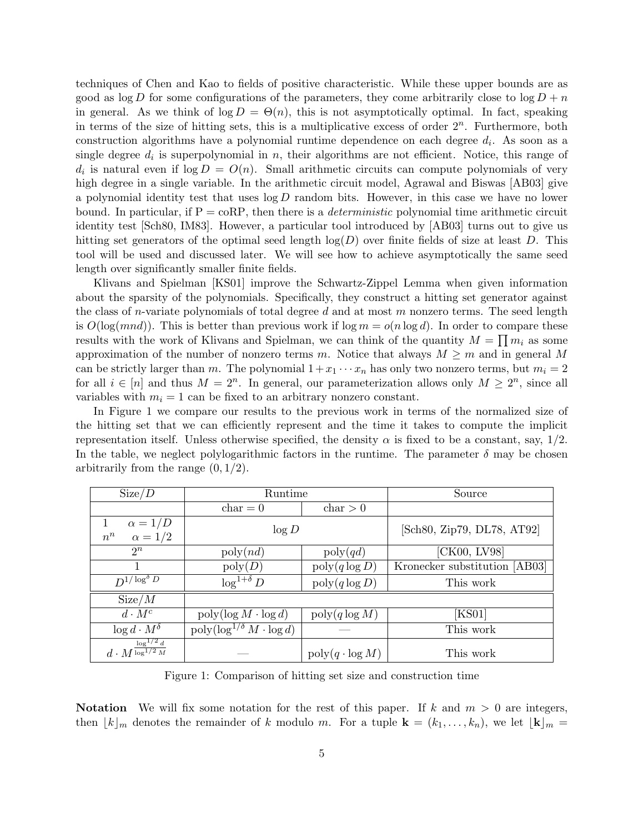techniques of Chen and Kao to fields of positive characteristic. While these upper bounds are as good as log D for some configurations of the parameters, they come arbitrarily close to  $\log D + n$ in general. As we think of  $\log D = \Theta(n)$ , this is not asymptotically optimal. In fact, speaking in terms of the size of hitting sets, this is a multiplicative excess of order  $2<sup>n</sup>$ . Furthermore, both construction algorithms have a polynomial runtime dependence on each degree  $d_i$ . As soon as a single degree  $d_i$  is superpolynomial in n, their algorithms are not efficient. Notice, this range of  $d_i$  is natural even if  $log D = O(n)$ . Small arithmetic circuits can compute polynomials of very high degree in a single variable. In the arithmetic circuit model, Agrawal and Biswas [AB03] give a polynomial identity test that uses  $\log D$  random bits. However, in this case we have no lower bound. In particular, if  $P = \text{coRP}$ , then there is a *deterministic* polynomial time arithmetic circuit identity test [Sch80, IM83]. However, a particular tool introduced by [AB03] turns out to give us hitting set generators of the optimal seed length  $log(D)$  over finite fields of size at least D. This tool will be used and discussed later. We will see how to achieve asymptotically the same seed length over significantly smaller finite fields.

Klivans and Spielman [KS01] improve the Schwartz-Zippel Lemma when given information about the sparsity of the polynomials. Specifically, they construct a hitting set generator against the class of *n*-variate polynomials of total degree  $d$  and at most  $m$  nonzero terms. The seed length is  $O(\log(mnd))$ . This is better than previous work if  $\log m = o(n \log d)$ . In order to compare these results with the work of Klivans and Spielman, we can think of the quantity  $M = \prod m_i$  as some approximation of the number of nonzero terms m. Notice that always  $M \geq m$  and in general M can be strictly larger than m. The polynomial  $1+x_1 \cdots x_n$  has only two nonzero terms, but  $m_i = 2$ for all  $i \in [n]$  and thus  $M = 2^n$ . In general, our parameterization allows only  $M \geq 2^n$ , since all variables with  $m_i = 1$  can be fixed to an arbitrary nonzero constant.

In Figure 1 we compare our results to the previous work in terms of the normalized size of the hitting set that we can efficiently represent and the time it takes to compute the implicit representation itself. Unless otherwise specified, the density  $\alpha$  is fixed to be a constant, say,  $1/2$ . In the table, we neglect polylogarithmic factors in the runtime. The parameter  $\delta$  may be chosen arbitrarily from the range  $(0, 1/2)$ .

| Size/D                                         | Runtime                                               |                                       | Source                        |
|------------------------------------------------|-------------------------------------------------------|---------------------------------------|-------------------------------|
|                                                | $char = 0$                                            | char > 0                              |                               |
| $\alpha = 1/D$<br>$\alpha = 1/2$<br>$n^n$      | $\log D$                                              |                                       | [Sch80, Zip79, DL78, AT92]    |
| $2^n$                                          | $\text{poly}(nd)$                                     | $\text{poly}(qd)$                     | [CK00, LV98]                  |
|                                                | $\text{poly}(D)$                                      | $\text{poly}(q \log D)$               | Kronecker substitution [AB03] |
| $D^{1/\log^{\delta} \overline{D}}$             | $\log^{1+\delta} D$                                   | $\text{poly}(q \log D)$               | This work                     |
| Size/M                                         |                                                       |                                       |                               |
| $d \cdot M^c$                                  | $\operatorname{poly}(\log M \cdot \log d)$            | $\operatorname{poly}(q \log M)$       | [KS01]                        |
| $\log d \cdot M^{\delta}$                      | $\operatorname{poly}(\log^{1/\delta} M \cdot \log d)$ |                                       | This work                     |
| $d\cdot M^{\frac{\log^{1/2} d}{\log^{1/2} M}}$ |                                                       | $\operatorname{poly}(q \cdot \log M)$ | This work                     |

Figure 1: Comparison of hitting set size and construction time

**Notation** We will fix some notation for the rest of this paper. If k and  $m > 0$  are integers, then  $|k|_m$  denotes the remainder of k modulo m. For a tuple  $\mathbf{k} = (k_1, \ldots, k_n)$ , we let  $|\mathbf{k}|_m =$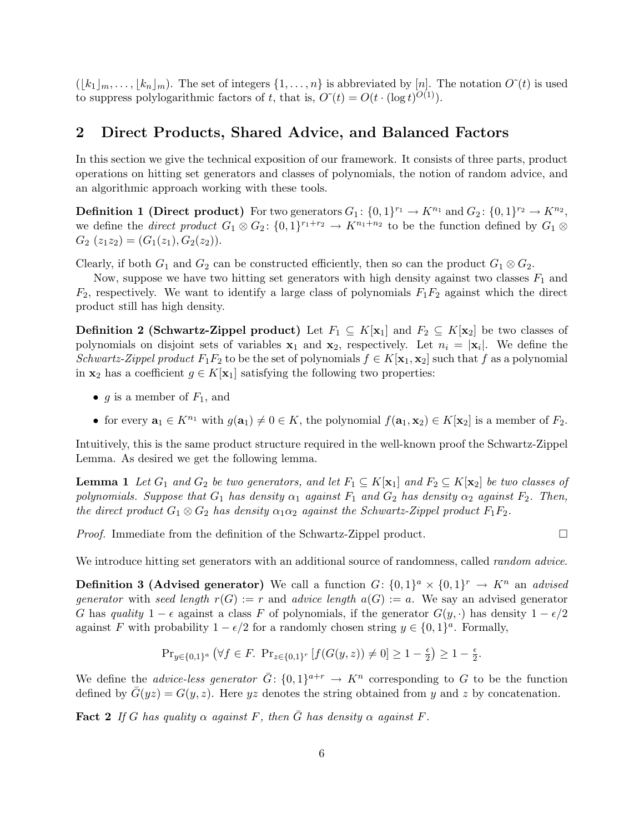$([k_1]_m, \ldots, [k_n]_m)$ . The set of integers  $\{1, \ldots, n\}$  is abbreviated by [n]. The notation  $O^{\tilde{}}(t)$  is used to suppress polylogarithmic factors of t, that is,  $O^*(t) = O(t \cdot (\log t)^{O(1)})$ .

### 2 Direct Products, Shared Advice, and Balanced Factors

In this section we give the technical exposition of our framework. It consists of three parts, product operations on hitting set generators and classes of polynomials, the notion of random advice, and an algorithmic approach working with these tools.

**Definition 1 (Direct product)** For two generators  $G_1: \{0,1\}^{r_1} \to K^{n_1}$  and  $G_2: \{0,1\}^{r_2} \to K^{n_2}$ , we define the *direct product*  $G_1 \otimes G_2$ :  $\{0,1\}^{r_1+r_2} \to K^{n_1+n_2}$  to be the function defined by  $G_1 \otimes G_2$  $G_2(z_1z_2)=(G_1(z_1),G_2(z_2)).$ 

Clearly, if both  $G_1$  and  $G_2$  can be constructed efficiently, then so can the product  $G_1 \otimes G_2$ .

Now, suppose we have two hitting set generators with high density against two classes  $F_1$  and  $F_2$ , respectively. We want to identify a large class of polynomials  $F_1F_2$  against which the direct product still has high density.

**Definition 2 (Schwartz-Zippel product)** Let  $F_1 \subseteq K[x_1]$  and  $F_2 \subseteq K[x_2]$  be two classes of polynomials on disjoint sets of variables  $x_1$  and  $x_2$ , respectively. Let  $n_i = |x_i|$ . We define the Schwartz-Zippel product  $F_1F_2$  to be the set of polynomials  $f \in K[\mathbf{x}_1, \mathbf{x}_2]$  such that f as a polynomial in  $x_2$  has a coefficient  $g \in K[x_1]$  satisfying the following two properties:

- g is a member of  $F_1$ , and
- for every  $\mathbf{a}_1 \in K^{n_1}$  with  $g(\mathbf{a}_1) \neq 0 \in K$ , the polynomial  $f(\mathbf{a}_1, \mathbf{x}_2) \in K[\mathbf{x}_2]$  is a member of  $F_2$ .

Intuitively, this is the same product structure required in the well-known proof the Schwartz-Zippel Lemma. As desired we get the following lemma.

**Lemma 1** Let  $G_1$  and  $G_2$  be two generators, and let  $F_1 \subseteq K[\mathbf{x}_1]$  and  $F_2 \subseteq K[\mathbf{x}_2]$  be two classes of polynomials. Suppose that  $G_1$  has density  $\alpha_1$  against  $F_1$  and  $G_2$  has density  $\alpha_2$  against  $F_2$ . Then, the direct product  $G_1 \otimes G_2$  has density  $\alpha_1 \alpha_2$  against the Schwartz-Zippel product  $F_1F_2$ .

Proof. Immediate from the definition of the Schwartz-Zippel product.

$$
\Box
$$

We introduce hitting set generators with an additional source of randomness, called *random advice*.

**Definition 3 (Advised generator)** We call a function  $G: \{0,1\}^a \times \{0,1\}^r \rightarrow K^n$  an *advised* generator with seed length  $r(G) := r$  and advice length  $a(G) := a$ . We say an advised generator G has quality  $1 - \epsilon$  against a class F of polynomials, if the generator  $G(y, \cdot)$  has density  $1 - \epsilon/2$ against F with probability  $1 - \epsilon/2$  for a randomly chosen string  $y \in \{0, 1\}^a$ . Formally,

$$
\mathrm{Pr}_{y \in \{0,1\}^a} \left( \forall f \in F. \ \mathrm{Pr}_{z \in \{0,1\}^r} \left[ f(G(y,z)) \neq 0 \right] \ge 1 - \tfrac{\epsilon}{2} \right) \ge 1 - \tfrac{\epsilon}{2}.
$$

We define the *advice-less generator*  $\bar{G}$ :  $\{0,1\}^{a+r} \to K^n$  corresponding to G to be the function defined by  $\bar{G}(yz) = G(y, z)$ . Here yz denotes the string obtained from y and z by concatenation.

**Fact 2** If G has quality  $\alpha$  against F, then  $\overline{G}$  has density  $\alpha$  against F.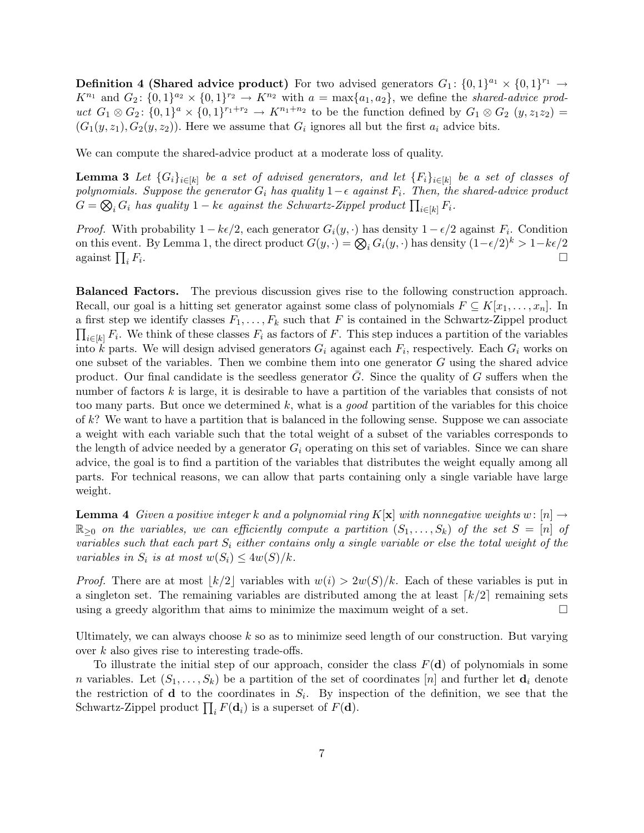**Definition 4 (Shared advice product)** For two advised generators  $G_1: \{0,1\}^{a_1} \times \{0,1\}^{r_1} \rightarrow$  $K^{n_1}$  and  $G_2$ :  $\{0,1\}^{n_2} \times \{0,1\}^{n_2} \rightarrow K^{n_2}$  with  $a = \max\{a_1, a_2\}$ , we define the shared-advice product  $G_1 \otimes G_2$ :  $\{0,1\}^a \times \{0,1\}^{r_1+r_2} \to K^{n_1+n_2}$  to be the function defined by  $G_1 \otimes G_2$   $(y,z_1z_2)$  $(G_1(y, z_1), G_2(y, z_2))$ . Here we assume that  $G_i$  ignores all but the first  $a_i$  advice bits.

We can compute the shared-advice product at a moderate loss of quality.

**Lemma 3** Let  $\{G_i\}_{i\in[k]}$  be a set of advised generators, and let  $\{F_i\}_{i\in[k]}$  be a set of classes of polynomials. Suppose the generator  $G_i$  has quality  $1-\epsilon$  against  $F_i$ . Then, the shared-advice product  $G = \bigotimes_i G_i$  has quality  $1 - k\epsilon$  against the Schwartz-Zippel product  $\prod_{i \in [k]} F_i$ .

*Proof.* With probability  $1 - k\epsilon/2$ , each generator  $G_i(y, \cdot)$  has density  $1 - \epsilon/2$  against  $F_i$ . Condition on this event. By Lemma 1, the direct product  $G(y, \cdot) = \bigotimes_i G_i(y, \cdot)$  has density  $(1 - \epsilon/2)^k > 1 - k\epsilon/2$ against  $\prod_i F_i$ . The contract of the contract of the contract of the contract of the contract of  $\Box$ 

Balanced Factors. The previous discussion gives rise to the following construction approach. Recall, our goal is a hitting set generator against some class of polynomials  $F \subseteq K[x_1, \ldots, x_n]$ . In a first step we identify classes  $F_1, \ldots, F_k$  such that F is contained in the Schwartz-Zippel product  $\prod_{i\in[k]} F_i$ . We think of these classes  $F_i$  as factors of F. This step induces a partition of the variables into k parts. We will design advised generators  $G_i$  against each  $F_i$ , respectively. Each  $G_i$  works on one subset of the variables. Then we combine them into one generator  $G$  using the shared advice product. Our final candidate is the seedless generator  $G$ . Since the quality of  $G$  suffers when the number of factors k is large, it is desirable to have a partition of the variables that consists of not too many parts. But once we determined k, what is a good partition of the variables for this choice of  $k$ ? We want to have a partition that is balanced in the following sense. Suppose we can associate a weight with each variable such that the total weight of a subset of the variables corresponds to the length of advice needed by a generator  $G_i$  operating on this set of variables. Since we can share advice, the goal is to find a partition of the variables that distributes the weight equally among all parts. For technical reasons, we can allow that parts containing only a single variable have large weight.

**Lemma 4** Given a positive integer k and a polynomial ring K[x] with nonnegative weights w:  $[n] \rightarrow$  $\mathbb{R}_{\geq 0}$  on the variables, we can efficiently compute a partition  $(S_1, \ldots, S_k)$  of the set  $S = [n]$  of variables such that each part  $S_i$  either contains only a single variable or else the total weight of the variables in  $S_i$  is at most  $w(S_i) \leq 4w(S)/k$ .

*Proof.* There are at most  $|k/2|$  variables with  $w(i) > 2w(S)/k$ . Each of these variables is put in a singleton set. The remaining variables are distributed among the at least  $\lceil k/2 \rceil$  remaining sets using a greedy algorithm that aims to minimize the maximum weight of a set.  $\square$ 

Ultimately, we can always choose  $k$  so as to minimize seed length of our construction. But varying over  $k$  also gives rise to interesting trade-offs.

To illustrate the initial step of our approach, consider the class  $F(\mathbf{d})$  of polynomials in some n variables. Let  $(S_1, \ldots, S_k)$  be a partition of the set of coordinates  $[n]$  and further let  $\mathbf{d}_i$  denote the restriction of **d** to the coordinates in  $S_i$ . By inspection of the definition, we see that the Schwartz-Zippel product  $\prod_i F(\mathbf{d}_i)$  is a superset of  $F(\mathbf{d})$ .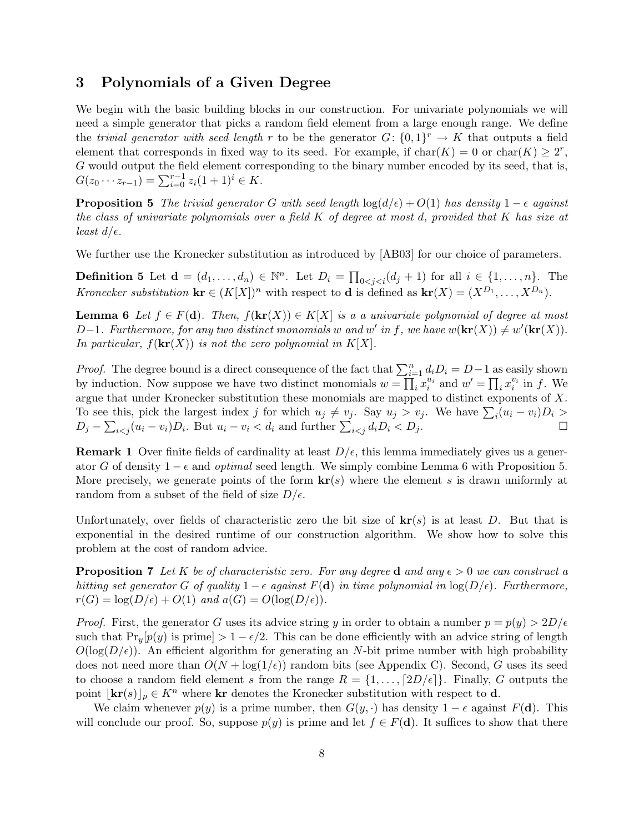# 3 Polynomials of a Given Degree

We begin with the basic building blocks in our construction. For univariate polynomials we will need a simple generator that picks a random field element from a large enough range. We define the trivial generator with seed length r to be the generator  $G: \{0,1\}^r \to K$  that outputs a field element that corresponds in fixed way to its seed. For example, if  $char(K) = 0$  or  $char(K) \geq 2^r$ , G would output the field element corresponding to the binary number encoded by its seed, that is,  $G(z_0 \cdots z_{r-1}) = \sum_{i=0}^{r-1} z_i (1+1)^i \in K.$ 

**Proposition 5** The trivial generator G with seed length  $\log(d/\epsilon) + O(1)$  has density  $1 - \epsilon$  against the class of univariate polynomials over a field  $K$  of degree at most d, provided that  $K$  has size at least  $d/\epsilon$ .

We further use the Kronecker substitution as introduced by [AB03] for our choice of parameters.

**Definition 5** Let  $\mathbf{d} = (d_1, \ldots, d_n) \in \mathbb{N}^n$ . Let  $D_i = \prod_{0 < j < i} (d_j + 1)$  for all  $i \in \{1, \ldots, n\}$ . The Kronecker substitution  $\mathbf{kr} \in (K[X])^n$  with respect to **d** is defined as  $\mathbf{kr}(X) = (X^{D_1}, \ldots, X^{D_n})$ .

**Lemma 6** Let  $f \in F(\mathbf{d})$ . Then,  $f(\mathbf{kr}(X)) \in K[X]$  is a a univariate polynomial of degree at most D-1. Furthermore, for any two distinct monomials w and w' in f, we have  $w(\mathbf{kr}(X)) \neq w'(\mathbf{kr}(X))$ . In particular,  $f(\mathbf{kr}(X))$  is not the zero polynomial in  $K[X]$ .

*Proof.* The degree bound is a direct consequence of the fact that  $\sum_{i=1}^{n} d_i D_i = D-1$  as easily shown by induction. Now suppose we have two distinct monomials  $w = \prod_i x_i^{u_i}$  and  $w' = \prod_i x_i^{v_i}$  in f. We argue that under Kronecker substitution these monomials are mapped to distinct exponents of X. To see this, pick the largest index j for which  $u_j \neq v_j$ . Say  $u_j > v_j$ . We have  $\sum_i (u_i - v_i)D_i >$  $D_j - \sum_{i < j} (u_i - v_i) D_i$ . But  $u_i - v_i < d_i$  and further  $\sum_{i < j} d_i D_i < D_j$ .

**Remark 1** Over finite fields of cardinality at least  $D/\epsilon$ , this lemma immediately gives us a generator G of density  $1 - \epsilon$  and *optimal* seed length. We simply combine Lemma 6 with Proposition 5. More precisely, we generate points of the form  $\mathbf{kr}(s)$  where the element s is drawn uniformly at random from a subset of the field of size  $D/\epsilon$ .

Unfortunately, over fields of characteristic zero the bit size of  $\mathbf{kr}(s)$  is at least D. But that is exponential in the desired runtime of our construction algorithm. We show how to solve this problem at the cost of random advice.

**Proposition 7** Let K be of characteristic zero. For any degree d and any  $\epsilon > 0$  we can construct a hitting set generator G of quality  $1 - \epsilon$  against  $F(\mathbf{d})$  in time polynomial in  $\log(D/\epsilon)$ . Furthermore,  $r(G) = \log(D/\epsilon) + O(1)$  and  $a(G) = O(\log(D/\epsilon)).$ 

*Proof.* First, the generator G uses its advice string y in order to obtain a number  $p = p(y) > 2D/\epsilon$ such that  $Pr_y[p(y)]$  is prime]  $> 1 - \epsilon/2$ . This can be done efficiently with an advice string of length  $O(\log(D/\epsilon))$ . An efficient algorithm for generating an N-bit prime number with high probability does not need more than  $O(N + \log(1/\epsilon))$  random bits (see Appendix C). Second, G uses its seed to choose a random field element s from the range  $R = \{1, \ldots, \lceil 2D/\epsilon \rceil\}$ . Finally, G outputs the point  $|\mathbf{kr}(s)|_p \in K^n$  where kr denotes the Kronecker substitution with respect to d.

We claim whenever  $p(y)$  is a prime number, then  $G(y, \cdot)$  has density  $1 - \epsilon$  against  $F(\mathbf{d})$ . This will conclude our proof. So, suppose  $p(y)$  is prime and let  $f \in F(\mathbf{d})$ . It suffices to show that there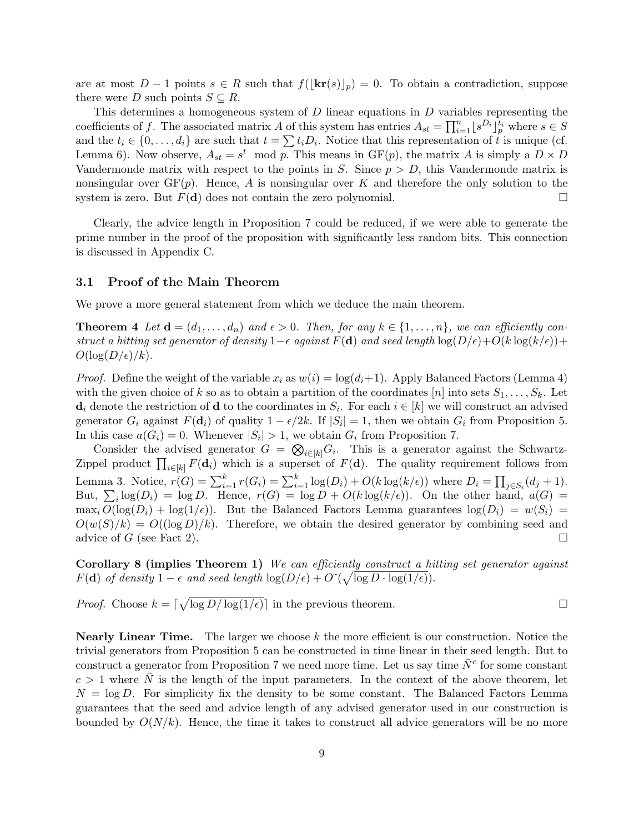are at most  $D-1$  points  $s \in R$  such that  $f(|\mathbf{kr}(s)|_p) = 0$ . To obtain a contradiction, suppose there were D such points  $S \subseteq R$ .

This determines a homogeneous system of D linear equations in D variables representing the coefficients of f. The associated matrix A of this system has entries  $A_{st} = \prod_{i=1}^{n} [s^{D_i}]_{p}^{t_i}$  where  $s \in S$ and the  $t_i \in \{0, \ldots, d_i\}$  are such that  $t = \sum t_i D_i$ . Notice that this representation of t is unique (cf. Lemma 6). Now observe,  $A_{st} = s^t \mod p$ . This means in  $GF(p)$ , the matrix A is simply a  $D \times D$ Vandermonde matrix with respect to the points in S. Since  $p > D$ , this Vandermonde matrix is nonsingular over  $GF(p)$ . Hence, A is nonsingular over K and therefore the only solution to the system is zero. But  $F(\mathbf{d})$  does not contain the zero polynomial.

Clearly, the advice length in Proposition 7 could be reduced, if we were able to generate the prime number in the proof of the proposition with significantly less random bits. This connection is discussed in Appendix C.

#### 3.1 Proof of the Main Theorem

We prove a more general statement from which we deduce the main theorem.

**Theorem 4** Let  $\mathbf{d} = (d_1, \ldots, d_n)$  and  $\epsilon > 0$ . Then, for any  $k \in \{1, \ldots, n\}$ , we can efficiently construct a hitting set generator of density  $1-\epsilon$  against  $F(\mathbf{d})$  and seed length  $\log(D/\epsilon)+O(k\log(k/\epsilon))+$  $O(\log(D/\epsilon)/k)$ .

*Proof.* Define the weight of the variable  $x_i$  as  $w(i) = \log(d_i+1)$ . Apply Balanced Factors (Lemma 4) with the given choice of k so as to obtain a partition of the coordinates [n] into sets  $S_1, \ldots, S_k$ . Let  $\mathbf{d}_i$  denote the restriction of  $\mathbf{d}$  to the coordinates in  $S_i$ . For each  $i \in [k]$  we will construct an advised generator  $G_i$  against  $F(\mathbf{d}_i)$  of quality  $1 - \epsilon/2k$ . If  $|S_i| = 1$ , then we obtain  $G_i$  from Proposition 5. In this case  $a(G_i) = 0$ . Whenever  $|S_i| > 1$ , we obtain  $G_i$  from Proposition 7.

Consider the advised generator  $G = \bigotimes_{i \in [k]} G_i$ . This is a generator against the Schwartz-Zippel product  $\prod_{i\in[k]} F(\mathbf{d}_i)$  which is a superset of  $F(\mathbf{d})$ . The quality requirement follows from Lemma 3. Notice,  $r(G) = \sum_{i=1}^{k} r(G_i) = \sum_{i=1}^{k} \log(D_i) + O(k \log(k/\epsilon))$  where  $D_i = \prod_{j \in S_i} (d_j + 1)$ . But,  $\sum_i \log(D_i) = \log D$ . Hence,  $r(G) = \log D + O(k \log(k/\epsilon))$ . On the other hand,  $a(G)$  $\max_i O(\log(D_i) + \log(1/\epsilon))$ . But the Balanced Factors Lemma guarantees  $\log(D_i) = w(S_i)$  $O(w(S)/k) = O((\log D)/k)$ . Therefore, we obtain the desired generator by combining seed and advice of G (see Fact 2).

Corollary 8 (implies Theorem 1) We can efficiently construct a hitting set generator against  $F(\mathbf{d})$  of density  $1 - \epsilon$  and seed length  $\log(D/\epsilon) + O(\sqrt{\log D \cdot \log(1/\epsilon)})$ .

*Proof.* Choose  $k = \lceil \sqrt{\log D / \log(1/\epsilon)} \rceil$  in the previous theorem.

**Nearly Linear Time.** The larger we choose  $k$  the more efficient is our construction. Notice the trivial generators from Proposition 5 can be constructed in time linear in their seed length. But to construct a generator from Proposition 7 we need more time. Let us say time  $\bar{N}^c$  for some constant  $c > 1$  where  $\overline{N}$  is the length of the input parameters. In the context of the above theorem, let  $N = \log D$ . For simplicity fix the density to be some constant. The Balanced Factors Lemma guarantees that the seed and advice length of any advised generator used in our construction is bounded by  $O(N/k)$ . Hence, the time it takes to construct all advice generators will be no more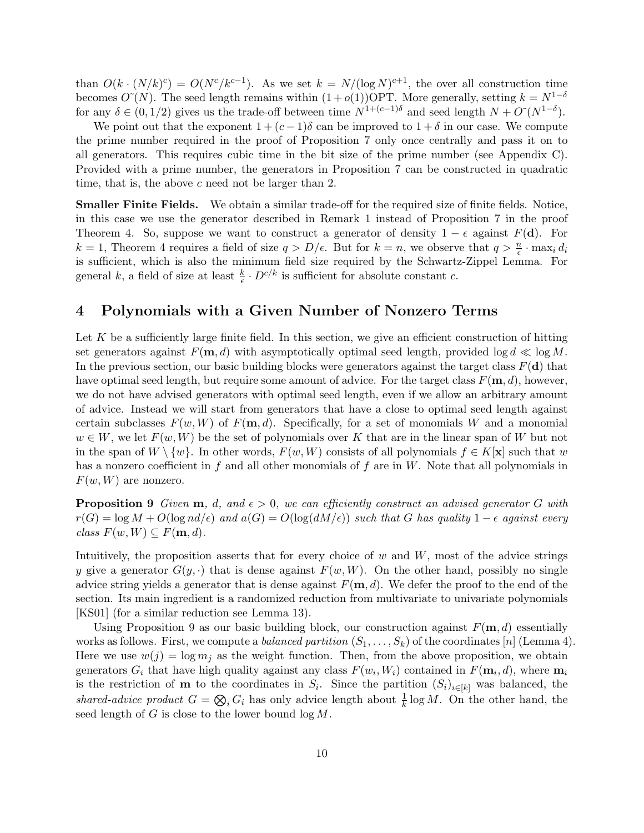than  $O(k \cdot (N/k)^c) = O(N^c/k^{c-1})$ . As we set  $k = N/(\log N)^{c+1}$ , the over all construction time becomes  $O<sup>α</sup>(N)$ . The seed length remains within  $(1 + o(1))$ OPT. More generally, setting  $k = N<sup>1-δ</sup>$ for any  $\delta \in (0,1/2)$  gives us the trade-off between time  $N^{1+(c-1)\delta}$  and seed length  $N+O\tilde{N}^{1-\delta}$ .

We point out that the exponent  $1 + (c - 1)\delta$  can be improved to  $1 + \delta$  in our case. We compute the prime number required in the proof of Proposition 7 only once centrally and pass it on to all generators. This requires cubic time in the bit size of the prime number (see Appendix C). Provided with a prime number, the generators in Proposition 7 can be constructed in quadratic time, that is, the above c need not be larger than 2.

Smaller Finite Fields. We obtain a similar trade-off for the required size of finite fields. Notice, in this case we use the generator described in Remark 1 instead of Proposition 7 in the proof Theorem 4. So, suppose we want to construct a generator of density  $1 - \epsilon$  against  $F(\mathbf{d})$ . For  $k = 1$ , Theorem 4 requires a field of size  $q > D/\epsilon$ . But for  $k = n$ , we observe that  $q > \frac{n}{\epsilon} \cdot \max_i d_i$ is sufficient, which is also the minimum field size required by the Schwartz-Zippel Lemma. For general k, a field of size at least  $\frac{k}{\epsilon} \cdot D^{c/k}$  is sufficient for absolute constant c.

### 4 Polynomials with a Given Number of Nonzero Terms

Let  $K$  be a sufficiently large finite field. In this section, we give an efficient construction of hitting set generators against  $F(\mathbf{m}, d)$  with asymptotically optimal seed length, provided log  $d \ll \log M$ . In the previous section, our basic building blocks were generators against the target class  $F(d)$  that have optimal seed length, but require some amount of advice. For the target class  $F(\mathbf{m}, d)$ , however, we do not have advised generators with optimal seed length, even if we allow an arbitrary amount of advice. Instead we will start from generators that have a close to optimal seed length against certain subclasses  $F(w, W)$  of  $F(\mathbf{m}, d)$ . Specifically, for a set of monomials W and a monomial  $w \in W$ , we let  $F(w, W)$  be the set of polynomials over K that are in the linear span of W but not in the span of  $W \setminus \{w\}$ . In other words,  $F(w, W)$  consists of all polynomials  $f \in K[\mathbf{x}]$  such that w has a nonzero coefficient in f and all other monomials of f are in  $W$ . Note that all polynomials in  $F(w, W)$  are nonzero.

**Proposition 9** Given  $m$ , d, and  $\epsilon > 0$ , we can efficiently construct an advised generator G with  $r(G) = \log M + O(\log nd/\epsilon)$  and  $a(G) = O(\log(dM/\epsilon))$  such that G has quality  $1 - \epsilon$  against every class  $F(w, W) \subseteq F(\mathbf{m}, d)$ .

Intuitively, the proposition asserts that for every choice of  $w$  and  $W$ , most of the advice strings y give a generator  $G(y, \cdot)$  that is dense against  $F(w, W)$ . On the other hand, possibly no single advice string yields a generator that is dense against  $F(\mathbf{m}, d)$ . We defer the proof to the end of the section. Its main ingredient is a randomized reduction from multivariate to univariate polynomials [KS01] (for a similar reduction see Lemma 13).

Using Proposition 9 as our basic building block, our construction against  $F(\mathbf{m}, d)$  essentially works as follows. First, we compute a *balanced partition*  $(S_1, \ldots, S_k)$  of the coordinates [n] (Lemma 4). Here we use  $w(j) = \log m_j$  as the weight function. Then, from the above proposition, we obtain generators  $G_i$  that have high quality against any class  $F(w_i, W_i)$  contained in  $F(\mathbf{m}_i, d)$ , where  $\mathbf{m}_i$ is the restriction of **m** to the coordinates in  $S_i$ . Since the partition  $(S_i)_{i\in[k]}$  was balanced, the shared-advice product  $G = \bigotimes_i G_i$  has only advice length about  $\frac{1}{k} \log M$ . On the other hand, the seed length of  $G$  is close to the lower bound  $\log M$ .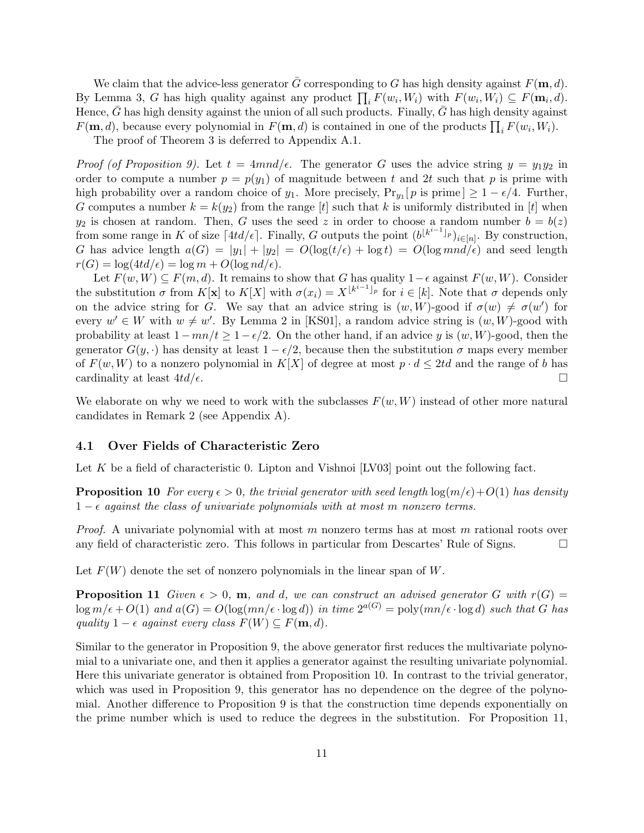We claim that the advice-less generator  $\bar{G}$  corresponding to G has high density against  $F(\mathbf{m}, d)$ . By Lemma 3, G has high quality against any product  $\prod_i F(w_i, W_i)$  with  $F(w_i, W_i) \subseteq F(\mathbf{m}_i, d)$ . Hence,  $G$  has high density against the union of all such products. Finally,  $G$  has high density against  $F(\mathbf{m}, d)$ , because every polynomial in  $F(\mathbf{m}, d)$  is contained in one of the products  $\prod_i F(w_i, W_i)$ .

The proof of Theorem 3 is deferred to Appendix A.1.

*Proof (of Proposition 9).* Let  $t = 4$ *mnd/* $\epsilon$ *.* The generator G uses the advice string  $y = y_1y_2$  in order to compute a number  $p = p(y_1)$  of magnitude between t and 2t such that p is prime with high probability over a random choice of  $y_1$ . More precisely,  $Pr_{y_1}[p \text{ is prime}] \geq 1 - \epsilon/4$ . Further, G computes a number  $k = k(y_2)$  from the range [t] such that k is uniformly distributed in [t] when  $y_2$  is chosen at random. Then, G uses the seed z in order to choose a random number  $b = b(z)$ from some range in K of size  $\lceil 4td/\epsilon \rceil$ . Finally, G outputs the point  $(b^{\lfloor k^{i-1} \rfloor_p})_{i \in [n]}$ . By construction, G has advice length  $a(G) = |y_1| + |y_2| = O(\log(t/\epsilon) + \log t) = O(\log m n d/\epsilon)$  and seed length  $r(G) = \log(4td/\epsilon) = \log m + O(\log nd/\epsilon).$ 

Let  $F(w, W) \subseteq F(m, d)$ . It remains to show that G has quality  $1-\epsilon$  against  $F(w, W)$ . Consider the substitution  $\sigma$  from  $K[\mathbf{x}]$  to  $K[X]$  with  $\sigma(x_i) = X^{k^{i-1}}$  for  $i \in [k]$ . Note that  $\sigma$  depends only on the advice string for G. We say that an advice string is  $(w, W)$ -good if  $\sigma(w) \neq \sigma(w')$  for every  $w' \in W$  with  $w \neq w'$ . By Lemma 2 in [KS01], a random advice string is  $(w, W)$ -good with probability at least  $1 - mn/t \geq 1 - \epsilon/2$ . On the other hand, if an advice y is  $(w, W)$ -good, then the generator  $G(y, \cdot)$  has density at least  $1 - \epsilon/2$ , because then the substitution  $\sigma$  maps every member of  $F(w, W)$  to a nonzero polynomial in  $K[X]$  of degree at most  $p \cdot d \leq 2td$  and the range of b has cardinality at least  $4td/\epsilon$ .

We elaborate on why we need to work with the subclasses  $F(w, W)$  instead of other more natural candidates in Remark 2 (see Appendix A).

#### 4.1 Over Fields of Characteristic Zero

Let K be a field of characteristic 0. Lipton and Vishnoi  $[V03]$  point out the following fact.

**Proposition 10** For every  $\epsilon > 0$ , the trivial generator with seed length  $\log(m/\epsilon) + O(1)$  has density  $1 - \epsilon$  against the class of univariate polynomials with at most m nonzero terms.

*Proof.* A univariate polynomial with at most m nonzero terms has at most m rational roots over any field of characteristic zero. This follows in particular from Descartes' Rule of Signs.  $\Box$ 

Let  $F(W)$  denote the set of nonzero polynomials in the linear span of W.

**Proposition 11** Given  $\epsilon > 0$ , **m**, and d, we can construct an advised generator G with  $r(G)$  =  $\log m/\epsilon + O(1)$  and  $a(G) = O(\log(mn/\epsilon \cdot \log d))$  in time  $2^{a(G)} = \text{poly}(mn/\epsilon \cdot \log d)$  such that G has quality  $1 - \epsilon$  against every class  $F(W) \subseteq F(\mathbf{m}, d)$ .

Similar to the generator in Proposition 9, the above generator first reduces the multivariate polynomial to a univariate one, and then it applies a generator against the resulting univariate polynomial. Here this univariate generator is obtained from Proposition 10. In contrast to the trivial generator, which was used in Proposition 9, this generator has no dependence on the degree of the polynomial. Another difference to Proposition 9 is that the construction time depends exponentially on the prime number which is used to reduce the degrees in the substitution. For Proposition 11,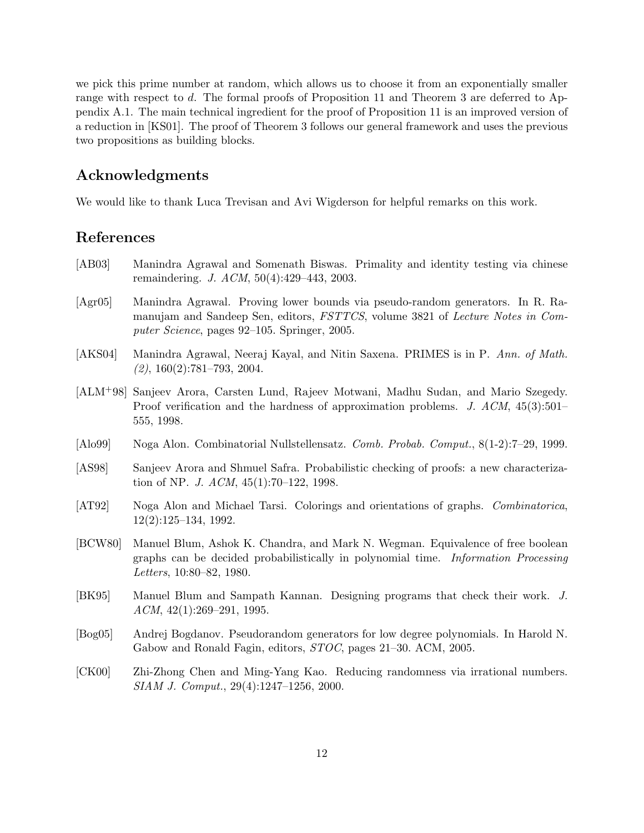we pick this prime number at random, which allows us to choose it from an exponentially smaller range with respect to d. The formal proofs of Proposition 11 and Theorem 3 are deferred to Appendix A.1. The main technical ingredient for the proof of Proposition 11 is an improved version of a reduction in [KS01]. The proof of Theorem 3 follows our general framework and uses the previous two propositions as building blocks.

# Acknowledgments

We would like to thank Luca Trevisan and Avi Wigderson for helpful remarks on this work.

# References

- [AB03] Manindra Agrawal and Somenath Biswas. Primality and identity testing via chinese remaindering. J. ACM, 50(4):429–443, 2003.
- [Agr05] Manindra Agrawal. Proving lower bounds via pseudo-random generators. In R. Ramanujam and Sandeep Sen, editors, FSTTCS, volume 3821 of Lecture Notes in Computer Science, pages 92–105. Springer, 2005.
- [AKS04] Manindra Agrawal, Neeraj Kayal, and Nitin Saxena. PRIMES is in P. Ann. of Math.  $(2), 160(2):781-793, 2004.$
- [ALM+98] Sanjeev Arora, Carsten Lund, Rajeev Motwani, Madhu Sudan, and Mario Szegedy. Proof verification and the hardness of approximation problems. J. ACM, 45(3):501– 555, 1998.
- [Alo99] Noga Alon. Combinatorial Nullstellensatz. Comb. Probab. Comput., 8(1-2):7–29, 1999.
- [AS98] Sanjeev Arora and Shmuel Safra. Probabilistic checking of proofs: a new characterization of NP. *J. ACM*,  $45(1):70-122$ , 1998.
- [AT92] Noga Alon and Michael Tarsi. Colorings and orientations of graphs. Combinatorica, 12(2):125–134, 1992.
- [BCW80] Manuel Blum, Ashok K. Chandra, and Mark N. Wegman. Equivalence of free boolean graphs can be decided probabilistically in polynomial time. Information Processing Letters, 10:80–82, 1980.
- [BK95] Manuel Blum and Sampath Kannan. Designing programs that check their work. J. ACM, 42(1):269–291, 1995.
- [Bog05] Andrej Bogdanov. Pseudorandom generators for low degree polynomials. In Harold N. Gabow and Ronald Fagin, editors, STOC, pages 21–30. ACM, 2005.
- [CK00] Zhi-Zhong Chen and Ming-Yang Kao. Reducing randomness via irrational numbers. SIAM J. Comput., 29(4):1247–1256, 2000.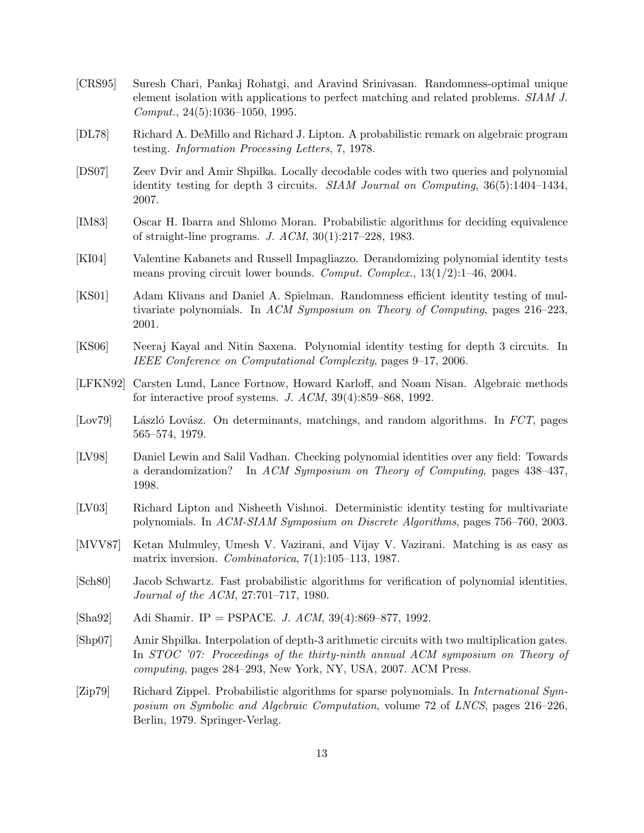- [CRS95] Suresh Chari, Pankaj Rohatgi, and Aravind Srinivasan. Randomness-optimal unique element isolation with applications to perfect matching and related problems. SIAM J. Comput., 24(5):1036–1050, 1995.
- [DL78] Richard A. DeMillo and Richard J. Lipton. A probabilistic remark on algebraic program testing. Information Processing Letters, 7, 1978.
- [DS07] Zeev Dvir and Amir Shpilka. Locally decodable codes with two queries and polynomial identity testing for depth 3 circuits. SIAM Journal on Computing, 36(5):1404–1434, 2007.
- [IM83] Oscar H. Ibarra and Shlomo Moran. Probabilistic algorithms for deciding equivalence of straight-line programs. J. ACM, 30(1):217–228, 1983.
- [KI04] Valentine Kabanets and Russell Impagliazzo. Derandomizing polynomial identity tests means proving circuit lower bounds. Comput. Complex., 13(1/2):1–46, 2004.
- [KS01] Adam Klivans and Daniel A. Spielman. Randomness efficient identity testing of multivariate polynomials. In ACM Symposium on Theory of Computing, pages 216–223, 2001.
- [KS06] Neeraj Kayal and Nitin Saxena. Polynomial identity testing for depth 3 circuits. In IEEE Conference on Computational Complexity, pages 9–17, 2006.
- [LFKN92] Carsten Lund, Lance Fortnow, Howard Karloff, and Noam Nisan. Algebraic methods for interactive proof systems. J. ACM, 39(4):859–868, 1992.
- [Lov79] László Lovász. On determinants, matchings, and random algorithms. In FCT, pages 565–574, 1979.
- [LV98] Daniel Lewin and Salil Vadhan. Checking polynomial identities over any field: Towards a derandomization? In ACM Symposium on Theory of Computing, pages 438–437, 1998.
- [LV03] Richard Lipton and Nisheeth Vishnoi. Deterministic identity testing for multivariate polynomials. In ACM-SIAM Symposium on Discrete Algorithms, pages 756–760, 2003.
- [MVV87] Ketan Mulmuley, Umesh V. Vazirani, and Vijay V. Vazirani. Matching is as easy as matrix inversion. *Combinatorica*,  $7(1):105-113$ , 1987.
- [Sch80] Jacob Schwartz. Fast probabilistic algorithms for verification of polynomial identities. Journal of the ACM, 27:701–717, 1980.
- [Sha92] Adi Shamir. IP = PSPACE. J. ACM, 39(4):869–877, 1992.
- [Shp07] Amir Shpilka. Interpolation of depth-3 arithmetic circuits with two multiplication gates. In STOC '07: Proceedings of the thirty-ninth annual ACM symposium on Theory of computing, pages 284–293, New York, NY, USA, 2007. ACM Press.
- [Zip79] Richard Zippel. Probabilistic algorithms for sparse polynomials. In International Symposium on Symbolic and Algebraic Computation, volume 72 of LNCS, pages 216–226, Berlin, 1979. Springer-Verlag.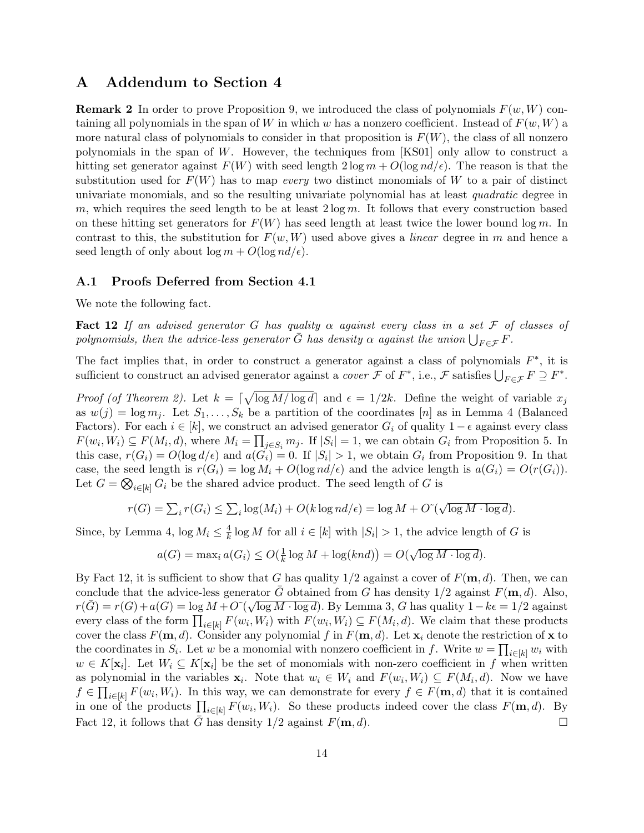# A Addendum to Section 4

**Remark 2** In order to prove Proposition 9, we introduced the class of polynomials  $F(w, W)$  containing all polynomials in the span of W in which w has a nonzero coefficient. Instead of  $F(w, W)$  a more natural class of polynomials to consider in that proposition is  $F(W)$ , the class of all nonzero polynomials in the span of W. However, the techniques from [KS01] only allow to construct a hitting set generator against  $F(W)$  with seed length  $2 \log m + O(\log nd/\epsilon)$ . The reason is that the substitution used for  $F(W)$  has to map *every* two distinct monomials of W to a pair of distinct univariate monomials, and so the resulting univariate polynomial has at least quadratic degree in m, which requires the seed length to be at least  $2 \log m$ . It follows that every construction based on these hitting set generators for  $F(W)$  has seed length at least twice the lower bound log m. In contrast to this, the substitution for  $F(w, W)$  used above gives a *linear* degree in m and hence a seed length of only about  $\log m + O(\log nd/\epsilon)$ .

#### A.1 Proofs Deferred from Section 4.1

We note the following fact.

Fact 12 If an advised generator G has quality  $\alpha$  against every class in a set F of classes of polynomials, then the advice-less generator  $\bar{G}$  has density  $\alpha$  against the union  $\bigcup_{F\in\mathcal{F}}F$ .

The fact implies that, in order to construct a generator against a class of polynomials  $F^*$ , it is sufficient to construct an advised generator against a *cover*  $\mathcal F$  of  $F^*$ , i.e.,  $\mathcal F$  satisfies  $\bigcup_{F \in \mathcal F} F \supseteq F^*$ .

*Proof (of Theorem 2).* Let  $k = \lceil \sqrt{\log M / \log d} \rceil$  and  $\epsilon = 1/2k$ . Define the weight of variable  $x_j$ as  $w(j) = \log m_j$ . Let  $S_1, \ldots, S_k$  be a partition of the coordinates [n] as in Lemma 4 (Balanced Factors). For each  $i \in [k]$ , we construct an advised generator  $G_i$  of quality  $1 - \epsilon$  against every class  $F(w_i, W_i) \subseteq F(M_i, d)$ , where  $M_i = \prod_{j \in S_i} m_j$ . If  $|S_i| = 1$ , we can obtain  $G_i$  from Proposition 5. In this case,  $r(G_i) = O(\log d/\epsilon)$  and  $a(G_i) = 0$ . If  $|S_i| > 1$ , we obtain  $G_i$  from Proposition 9. In that case, the seed length is  $r(G_i) = \log M_i + O(\log nd/\epsilon)$  and the advice length is  $a(G_i) = O(r(G_i)).$ Let  $G = \bigotimes_{i \in [k]} G_i$  be the shared advice product. The seed length of G is

$$
r(G) = \sum_{i} r(G_i) \le \sum_{i} \log(M_i) + O(k \log nd/\epsilon) = \log M + O\left(\sqrt{\log M \cdot \log d}\right).
$$

Since, by Lemma 4,  $\log M_i \leq \frac{4}{k}$  $\frac{4}{k}$  log M for all  $i \in [k]$  with  $|S_i| > 1$ , the advice length of G is

$$
a(G) = \max_i a(G_i) \le O(\frac{1}{k} \log M + \log(knd)) = O(\sqrt{\log M \cdot \log d}).
$$

By Fact 12, it is sufficient to show that G has quality  $1/2$  against a cover of  $F(\mathbf{m}, d)$ . Then, we can conclude that the advice-less generator  $\bar{G}$  obtained from G has density  $1/2$  against  $F(\mathbf{m}, d)$ . Also, conclude that the advice-less generator G obtained from G has density  $1/2$  against  $F(\mathbf{m}, u)$ . Also,<br> $r(\bar{G}) = r(G) + a(G) = \log M + O^{\sim}(\sqrt{\log M \cdot \log d})$ . By Lemma 3, G has quality  $1 - k\epsilon = 1/2$  against every class of the form  $\prod_{i\in[k]} F(w_i, W_i)$  with  $F(w_i, W_i) \subseteq F(M_i, d)$ . We claim that these products cover the class  $F(\mathbf{m}, d)$ . Consider any polynomial f in  $F(\mathbf{m}, d)$ . Let  $\mathbf{x}_i$  denote the restriction of x to the coordinates in  $S_i$ . Let w be a monomial with nonzero coefficient in f. Write  $w = \prod_{i \in [k]} w_i$  with  $w \in K[\mathbf{x}_i]$ . Let  $W_i \subseteq K[\mathbf{x}_i]$  be the set of monomials with non-zero coefficient in f when written as polynomial in the variables  $\mathbf{x}_i$ . Note that  $w_i \in W_i$  and  $F(w_i, W_i) \subseteq F(M_i, d)$ . Now we have  $f \in \prod_{i\in[k]} F(w_i, W_i)$ . In this way, we can demonstrate for every  $f \in F(\mathbf{m}, d)$  that it is contained in one of the products  $\prod_{i\in[k]} F(w_i, W_i)$ . So these products indeed cover the class  $F(\mathbf{m}, d)$ . By Fact 12, it follows that  $\bar{G}$  has density 1/2 against  $F(\mathbf{m}, d)$ .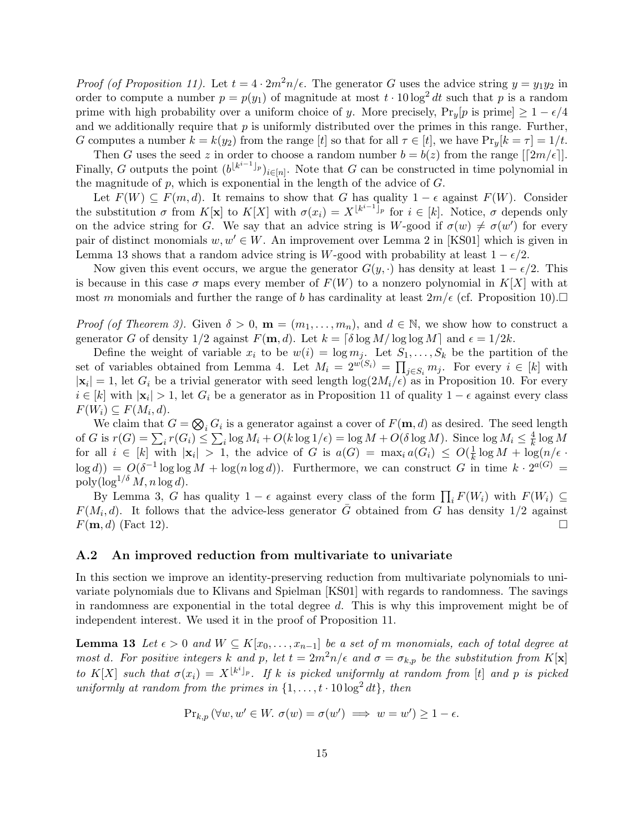*Proof (of Proposition 11).* Let  $t = 4 \cdot 2m^2n/\epsilon$ . The generator G uses the advice string  $y = y_1y_2$  in order to compute a number  $p = p(y_1)$  of magnitude at most  $t \cdot 10 \log^2 dt$  such that p is a random prime with high probability over a uniform choice of y. More precisely,  $Pr_y[p \text{ is prime}] \geq 1 - \epsilon/4$ and we additionally require that  $p$  is uniformly distributed over the primes in this range. Further, G computes a number  $k = k(y_2)$  from the range [t] so that for all  $\tau \in [t]$ , we have  $\Pr_y[k = \tau] = 1/t$ .

Then G uses the seed z in order to choose a random number  $b = b(z)$  from the range  $\lfloor 2m/\epsilon \rfloor$ . Finally, G outputs the point  $(b^{\lfloor k^{i-1} \rfloor_p})_{i \in [n]}$ . Note that G can be constructed in time polynomial in the magnitude of  $p$ , which is exponential in the length of the advice of  $G$ .

Let  $F(W) \subseteq F(m, d)$ . It remains to show that G has quality  $1 - \epsilon$  against  $F(W)$ . Consider the substitution  $\sigma$  from  $K[\mathbf{x}]$  to  $K[X]$  with  $\sigma(x_i) = X^{[k^{i-1}]}$  for  $i \in [k]$ . Notice,  $\sigma$  depends only on the advice string for G. We say that an advice string is W-good if  $\sigma(w) \neq \sigma(w')$  for every pair of distinct monomials  $w, w' \in W$ . An improvement over Lemma 2 in [KS01] which is given in Lemma 13 shows that a random advice string is W-good with probability at least  $1 - \epsilon/2$ .

Now given this event occurs, we argue the generator  $G(y, \cdot)$  has density at least  $1 - \epsilon/2$ . This is because in this case  $\sigma$  maps every member of  $F(W)$  to a nonzero polynomial in  $K[X]$  with at most m monomials and further the range of b has cardinality at least  $2m/\epsilon$  (cf. Proposition 10).

*Proof (of Theorem 3).* Given  $\delta > 0$ ,  $\mathbf{m} = (m_1, \ldots, m_n)$ , and  $d \in \mathbb{N}$ , we show how to construct a generator G of density  $1/2$  against  $F(\mathbf{m}, d)$ . Let  $k = \lceil \delta \log M / \log \log M \rceil$  and  $\epsilon = 1/2k$ .

Define the weight of variable  $x_i$  to be  $w(i) = \log m_j$ . Let  $S_1, \ldots, S_k$  be the partition of the set of variables obtained from Lemma 4. Let  $M_i = 2^{w(S_i)} = \prod_{j \in S_i} m_j$ . For every  $i \in [k]$  with  $|\mathbf{x}_i|=1$ , let  $G_i$  be a trivial generator with seed length  $\log(2M_i/\epsilon)$  as in Proposition 10. For every  $i \in [k]$  with  $|\mathbf{x}_i| > 1$ , let  $G_i$  be a generator as in Proposition 11 of quality  $1 - \epsilon$  against every class  $F(W_i) \subseteq F(M_i, d).$ 

We claim that  $G = \bigotimes_i G_i$  is a generator against a cover of  $F(\mathbf{m}, d)$  as desired. The seed length of G is  $r(G) = \sum_i r(G_i) \leq \sum_i \log M_i + O(k \log 1/\epsilon) = \log M + O(\delta \log M)$ . Since  $\log M_i \leq \frac{4}{k}$  $\frac{4}{k} \log M$ for all  $i \in [k]$  with  $|\mathbf{x}_i| > 1$ , the advice of G is  $a(G) = \max_i a(G_i) \le O(\frac{1}{k})$  $\frac{1}{k} \log M + \log(n/\epsilon)$  $\log d$ ) =  $O(\delta^{-1} \log \log M + \log(n \log d))$ . Furthermore, we can construct G in time  $k \cdot 2^{a(G)}$  = poly $(\log^{1/\delta} M, n \log d)$ .

By Lemma 3, G has quality  $1 - \epsilon$  against every class of the form  $\prod_i F(W_i)$  with  $F(W_i) \subseteq$  $F(M_i, d)$ . It follows that the advice-less generator  $\overline{G}$  obtained from  $\overline{G}$  has density 1/2 against  $F(\mathbf{m}, d)$  (Fact 12).

#### A.2 An improved reduction from multivariate to univariate

In this section we improve an identity-preserving reduction from multivariate polynomials to univariate polynomials due to Klivans and Spielman [KS01] with regards to randomness. The savings in randomness are exponential in the total degree d. This is why this improvement might be of independent interest. We used it in the proof of Proposition 11.

**Lemma 13** Let  $\epsilon > 0$  and  $W \subseteq K[x_0, \ldots, x_{n-1}]$  be a set of m monomials, each of total degree at most d. For positive integers k and p, let  $t = 2m^2n/\epsilon$  and  $\sigma = \sigma_{k,p}$  be the substitution from K[x] to K[X] such that  $\sigma(x_i) = X^{\lfloor k^i \rfloor_p}$ . If k is picked uniformly at random from [t] and p is picked uniformly at random from the primes in  $\{1, \ldots, t \cdot 10 \log^2 dt\}$ , then

$$
\Pr_{k,p} (\forall w, w' \in W. \ \sigma(w) = \sigma(w') \implies w = w') \ge 1 - \epsilon.
$$